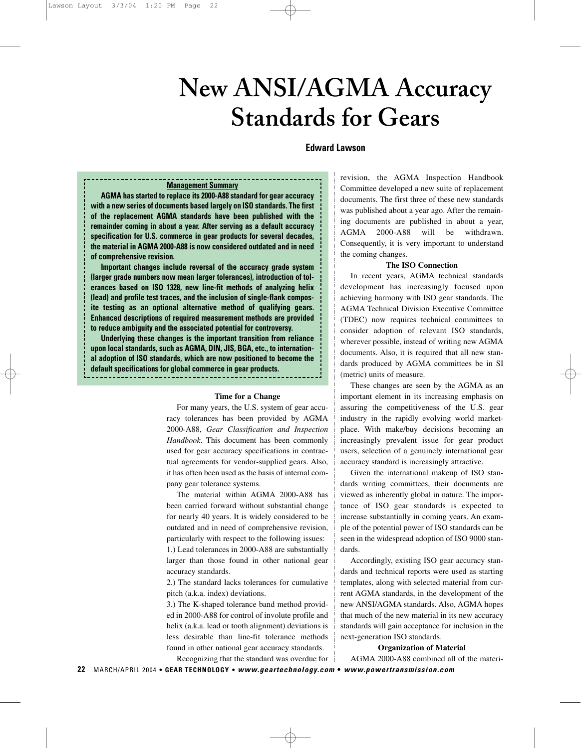# **New ANSI/AGMA Accuracy Standards for Gears**

# **Edward Lawson**

# **Management Summary**

**AGMA has started to replace its 2000-A88 standard for gear accuracy with a new series of documents based largely on ISO standards. The first of the replacement AGMA standards have been published with the remainder coming in about a year. After serving as a default accuracy specification for U.S. commerce in gear products for several decades, the material in AGMA 2000-A88 is now considered outdated and in need of comprehensive revision.**

**Important changes include reversal of the accuracy grade system (larger grade numbers now mean larger tolerances), introduction of tolerances based on ISO 1328, new line-fit methods of analyzing helix (lead) and profile test traces, and the inclusion of single-flank composite testing as an optional alternative method of qualifying gears. Enhanced descriptions of required measurement methods are provided to reduce ambiguity and the associated potential for controversy.**

**Underlying these changes is the important transition from reliance upon local standards, such as AGMA, DIN, JIS, BGA, etc., to international adoption of ISO standards, which are now positioned to become the default specifications for global commerce in gear products.**

**Time for a Change**

For many years, the U.S. system of gear accuracy tolerances has been provided by AGMA 2000-A88, *Gear Classification and Inspection Handbook*. This document has been commonly used for gear accuracy specifications in contractual agreements for vendor-supplied gears. Also, it has often been used as the basis of internal company gear tolerance systems.

The material within AGMA 2000-A88 has been carried forward without substantial change for nearly 40 years. It is widely considered to be outdated and in need of comprehensive revision, particularly with respect to the following issues: 1.) Lead tolerances in 2000-A88 are substantially larger than those found in other national gear accuracy standards.

2.) The standard lacks tolerances for cumulative pitch (a.k.a. index) deviations.

3.) The K-shaped tolerance band method provided in 2000-A88 for control of involute profile and helix (a.k.a. lead or tooth alignment) deviations is less desirable than line-fit tolerance methods found in other national gear accuracy standards.

revision, the AGMA Inspection Handbook Committee developed a new suite of replacement documents. The first three of these new standards was published about a year ago. After the remaining documents are published in about a year, AGMA 2000-A88 will be withdrawn. Consequently, it is very important to understand the coming changes.

#### **The ISO Connection**

In recent years, AGMA technical standards development has increasingly focused upon achieving harmony with ISO gear standards. The AGMA Technical Division Executive Committee (TDEC) now requires technical committees to consider adoption of relevant ISO standards, wherever possible, instead of writing new AGMA documents. Also, it is required that all new standards produced by AGMA committees be in SI (metric) units of measure.

These changes are seen by the AGMA as an important element in its increasing emphasis on assuring the competitiveness of the U.S. gear industry in the rapidly evolving world marketplace. With make/buy decisions becoming an increasingly prevalent issue for gear product users, selection of a genuinely international gear accuracy standard is increasingly attractive.

Given the international makeup of ISO standards writing committees, their documents are viewed as inherently global in nature. The importance of ISO gear standards is expected to increase substantially in coming years. An example of the potential power of ISO standards can be seen in the widespread adoption of ISO 9000 standards.

Accordingly, existing ISO gear accuracy standards and technical reports were used as starting templates, along with selected material from current AGMA standards, in the development of the new ANSI/AGMA standards. Also, AGMA hopes that much of the new material in its new accuracy standards will gain acceptance for inclusion in the next-generation ISO standards.

**Organization of Material** AGMA 2000-A88 combined all of the materi-

Recognizing that the standard was overdue for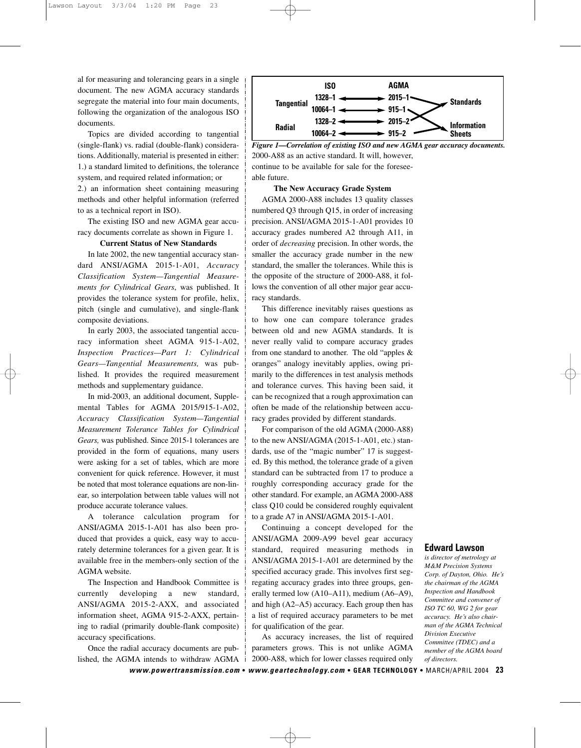al for measuring and tolerancing gears in a single document. The new AGMA accuracy standards segregate the material into four main documents, following the organization of the analogous ISO documents.

Topics are divided according to tangential (single-flank) vs. radial (double-flank) considerations. Additionally, material is presented in either: 1.) a standard limited to definitions, the tolerance system, and required related information; or 2.) an information sheet containing measuring methods and other helpful information (referred to as a technical report in ISO).

The existing ISO and new AGMA gear accuracy documents correlate as shown in Figure 1.

# **Current Status of New Standards**

In late 2002, the new tangential accuracy standard ANSI/AGMA 2015-1-A01, *Accuracy Classification System—Tangential Measurements for Cylindrical Gears*, was published. It provides the tolerance system for profile, helix, pitch (single and cumulative), and single-flank composite deviations.

In early 2003, the associated tangential accuracy information sheet AGMA 915-1-A02, *Inspection Practices—Part 1: Cylindrical Gears—Tangential Measurements,* was published. It provides the required measurement methods and supplementary guidance.

In mid-2003, an additional document, Supplemental Tables for AGMA 2015/915-1-A02, *Accuracy Classification System—Tangential Measurement Tolerance Tables for Cylindrical Gears,* was published. Since 2015-1 tolerances are provided in the form of equations, many users were asking for a set of tables, which are more convenient for quick reference. However, it must be noted that most tolerance equations are non-linear, so interpolation between table values will not produce accurate tolerance values.

A tolerance calculation program for ANSI/AGMA 2015-1-A01 has also been produced that provides a quick, easy way to accurately determine tolerances for a given gear. It is available free in the members-only section of the AGMA website.

The Inspection and Handbook Committee is currently developing a new standard, ANSI/AGMA 2015-2-AXX, and associated information sheet, AGMA 915-2-AXX, pertaining to radial (primarily double-flank composite) accuracy specifications.

Once the radial accuracy documents are published, the AGMA intends to withdraw AGMA



2000-A88 as an active standard. It will, however, continue to be available for sale for the foreseeable future. *Figure 1—Correlation of existing ISO and new AGMA gear accuracy documents.*

#### **The New Accuracy Grade System**

AGMA 2000-A88 includes 13 quality classes numbered Q3 through Q15, in order of increasing precision. ANSI/AGMA 2015-1-A01 provides 10 accuracy grades numbered A2 through A11, in order of *decreasing* precision. In other words, the smaller the accuracy grade number in the new standard, the smaller the tolerances. While this is the opposite of the structure of 2000-A88, it follows the convention of all other major gear accuracy standards.

This difference inevitably raises questions as to how one can compare tolerance grades between old and new AGMA standards. It is never really valid to compare accuracy grades from one standard to another. The old "apples & oranges" analogy inevitably applies, owing primarily to the differences in test analysis methods and tolerance curves. This having been said, it can be recognized that a rough approximation can often be made of the relationship between accuracy grades provided by different standards.

For comparison of the old AGMA (2000-A88) to the new ANSI/AGMA (2015-1-A01, etc.) standards, use of the "magic number" 17 is suggested. By this method, the tolerance grade of a given standard can be subtracted from 17 to produce a roughly corresponding accuracy grade for the other standard. For example, an AGMA 2000-A88 class Q10 could be considered roughly equivalent to a grade A7 in ANSI/AGMA 2015-1-A01.

Continuing a concept developed for the ANSI/AGMA 2009-A99 bevel gear accuracy standard, required measuring methods in ANSI/AGMA 2015-1-A01 are determined by the specified accuracy grade. This involves first segregating accuracy grades into three groups, generally termed low (A10–A11), medium (A6–A9), and high (A2–A5) accuracy. Each group then has a list of required accuracy parameters to be met for qualification of the gear.

As accuracy increases, the list of required parameters grows. This is not unlike AGMA 2000-A88, which for lower classes required only

# **Edward Lawson**

*is director of metrology at M&M Precision Systems Corp. of Dayton, Ohio. He's the chairman of the AGMA Inspection and Handbook Committee and convener of ISO TC 60, WG 2 for gear accuracy. He's also chairman of the AGMA Technical Division Executive Committee (TDEC) and a member of the AGMA board of directors.*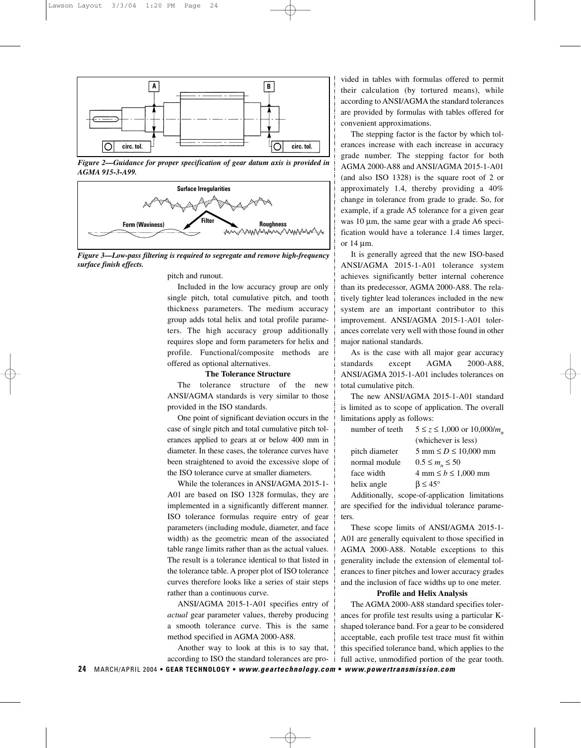

*Figure 2—Guidance for proper specification of gear datum axis is provided in AGMA 915-3-A99.*



*Figure 3—Low-pass filtering is required to segregate and remove high-frequency surface finish effects.*

pitch and runout.

Included in the low accuracy group are only single pitch, total cumulative pitch, and tooth thickness parameters. The medium accuracy group adds total helix and total profile parameters. The high accuracy group additionally requires slope and form parameters for helix and profile. Functional/composite methods are offered as optional alternatives.

#### **The Tolerance Structure**

The tolerance structure of the new ANSI/AGMA standards is very similar to those provided in the ISO standards.

One point of significant deviation occurs in the case of single pitch and total cumulative pitch tolerances applied to gears at or below 400 mm in diameter. In these cases, the tolerance curves have been straightened to avoid the excessive slope of the ISO tolerance curve at smaller diameters.

While the tolerances in ANSI/AGMA 2015-1- A01 are based on ISO 1328 formulas, they are implemented in a significantly different manner. ISO tolerance formulas require entry of gear parameters (including module, diameter, and face width) as the geometric mean of the associated table range limits rather than as the actual values. The result is a tolerance identical to that listed in the tolerance table. A proper plot of ISO tolerance curves therefore looks like a series of stair steps rather than a continuous curve.

ANSI/AGMA 2015-1-A01 specifies entry of *actual* gear parameter values, thereby producing a smooth tolerance curve. This is the same method specified in AGMA 2000-A88.

Another way to look at this is to say that, according to ISO the standard tolerances are provided in tables with formulas offered to permit their calculation (by tortured means), while according to ANSI/AGMA the standard tolerances are provided by formulas with tables offered for convenient approximations.

The stepping factor is the factor by which tolerances increase with each increase in accuracy grade number. The stepping factor for both AGMA 2000-A88 and ANSI/AGMA 2015-1-A01 (and also ISO 1328) is the square root of 2 or approximately 1.4, thereby providing a 40% change in tolerance from grade to grade. So, for example, if a grade A5 tolerance for a given gear was 10 µm, the same gear with a grade A6 specification would have a tolerance 1.4 times larger, or 14 µm.

It is generally agreed that the new ISO-based ANSI/AGMA 2015-1-A01 tolerance system achieves significantly better internal coherence than its predecessor, AGMA 2000-A88. The relatively tighter lead tolerances included in the new system are an important contributor to this improvement. ANSI/AGMA 2015-1-A01 tolerances correlate very well with those found in other major national standards.

As is the case with all major gear accuracy standards except AGMA 2000-A88, ANSI/AGMA 2015-1-A01 includes tolerances on total cumulative pitch.

The new ANSI/AGMA 2015-1-A01 standard is limited as to scope of application. The overall limitations apply as follows:

| number of teeth | $5 \le z \le 1,000$ or $10,000/m$ <sub>n</sub> |
|-----------------|------------------------------------------------|
|                 | (whichever is less)                            |
| pitch diameter  | $5 \text{ mm} \le D \le 10,000 \text{ mm}$     |
| normal module   | $0.5 \le m_n \le 50$                           |
| face width      | $4 \text{ mm} \le b \le 1,000 \text{ mm}$      |
| helix angle     | $\beta \leq 45^{\circ}$                        |
|                 |                                                |

Additionally, scope-of-application limitations are specified for the individual tolerance parameters.

These scope limits of ANSI/AGMA 2015-1- A01 are generally equivalent to those specified in AGMA 2000-A88. Notable exceptions to this generality include the extension of elemental tolerances to finer pitches and lower accuracy grades and the inclusion of face widths up to one meter.

# **Profile and Helix Analysis**

The AGMA 2000-A88 standard specifies tolerances for profile test results using a particular Kshaped tolerance band. For a gear to be considered acceptable, each profile test trace must fit within this specified tolerance band, which applies to the full active, unmodified portion of the gear tooth.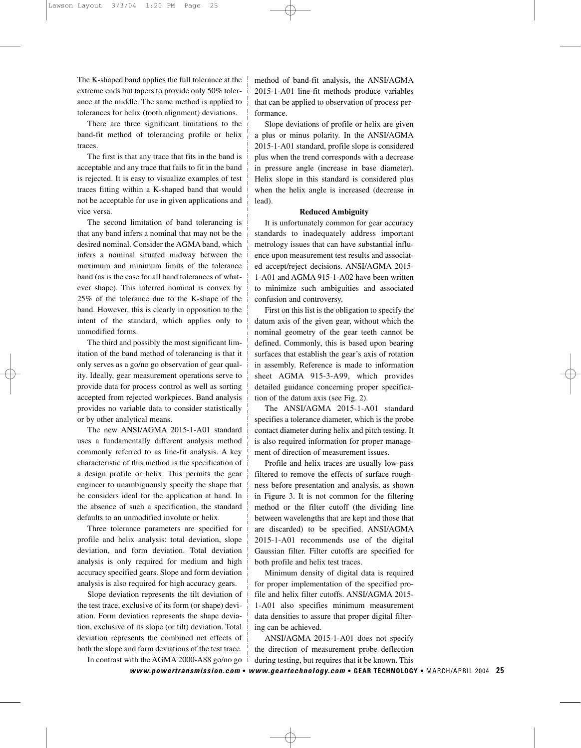The K-shaped band applies the full tolerance at the extreme ends but tapers to provide only 50% tolerance at the middle. The same method is applied to tolerances for helix (tooth alignment) deviations.

There are three significant limitations to the band-fit method of tolerancing profile or helix traces.

The first is that any trace that fits in the band is acceptable and any trace that fails to fit in the band is rejected. It is easy to visualize examples of test traces fitting within a K-shaped band that would not be acceptable for use in given applications and vice versa.

The second limitation of band tolerancing is that any band infers a nominal that may not be the desired nominal. Consider the AGMA band, which infers a nominal situated midway between the maximum and minimum limits of the tolerance band (as is the case for all band tolerances of whatever shape). This inferred nominal is convex by 25% of the tolerance due to the K-shape of the band. However, this is clearly in opposition to the intent of the standard, which applies only to unmodified forms.

The third and possibly the most significant limitation of the band method of tolerancing is that it only serves as a go/no go observation of gear quality. Ideally, gear measurement operations serve to provide data for process control as well as sorting accepted from rejected workpieces. Band analysis provides no variable data to consider statistically or by other analytical means.

The new ANSI/AGMA 2015-1-A01 standard uses a fundamentally different analysis method commonly referred to as line-fit analysis. A key characteristic of this method is the specification of a design profile or helix. This permits the gear engineer to unambiguously specify the shape that he considers ideal for the application at hand. In the absence of such a specification, the standard defaults to an unmodified involute or helix.

Three tolerance parameters are specified for profile and helix analysis: total deviation, slope deviation, and form deviation. Total deviation analysis is only required for medium and high accuracy specified gears. Slope and form deviation analysis is also required for high accuracy gears.

Slope deviation represents the tilt deviation of the test trace, exclusive of its form (or shape) deviation. Form deviation represents the shape deviation, exclusive of its slope (or tilt) deviation. Total deviation represents the combined net effects of both the slope and form deviations of the test trace. In contrast with the AGMA 2000-A88 go/no go

method of band-fit analysis, the ANSI/AGMA 2015-1-A01 line-fit methods produce variables that can be applied to observation of process performance.

Slope deviations of profile or helix are given a plus or minus polarity. In the ANSI/AGMA 2015-1-A01 standard, profile slope is considered plus when the trend corresponds with a decrease in pressure angle (increase in base diameter). Helix slope in this standard is considered plus when the helix angle is increased (decrease in lead).

#### **Reduced Ambiguity**

It is unfortunately common for gear accuracy standards to inadequately address important metrology issues that can have substantial influence upon measurement test results and associated accept/reject decisions. ANSI/AGMA 2015- 1-A01 and AGMA 915-1-A02 have been written to minimize such ambiguities and associated confusion and controversy.

First on this list is the obligation to specify the datum axis of the given gear, without which the nominal geometry of the gear teeth cannot be defined. Commonly, this is based upon bearing surfaces that establish the gear's axis of rotation in assembly. Reference is made to information sheet AGMA 915-3-A99, which provides detailed guidance concerning proper specification of the datum axis (see Fig. 2).

The ANSI/AGMA 2015-1-A01 standard specifies a tolerance diameter, which is the probe contact diameter during helix and pitch testing. It is also required information for proper management of direction of measurement issues.

Profile and helix traces are usually low-pass filtered to remove the effects of surface roughness before presentation and analysis, as shown in Figure 3. It is not common for the filtering method or the filter cutoff (the dividing line between wavelengths that are kept and those that are discarded) to be specified. ANSI/AGMA 2015-1-A01 recommends use of the digital Gaussian filter. Filter cutoffs are specified for both profile and helix test traces.

Minimum density of digital data is required for proper implementation of the specified profile and helix filter cutoffs. ANSI/AGMA 2015- 1-A01 also specifies minimum measurement data densities to assure that proper digital filtering can be achieved.

ANSI/AGMA 2015-1-A01 does not specify the direction of measurement probe deflection during testing, but requires that it be known. This

*[www.powertransmission.com](http://www.geartechnology.com/cgi-bin/pa/gtredirect.cgi?http://www.powertransmission.com)* **•** *[www.geartechnology.com](http://www.geartechnology.com/cgi-bin/pa/gtredirect.cgi?http://www.geartechnology.com)* **• GEAR TECHNOLOGY •** MARCH/APRIL 2004 **25**